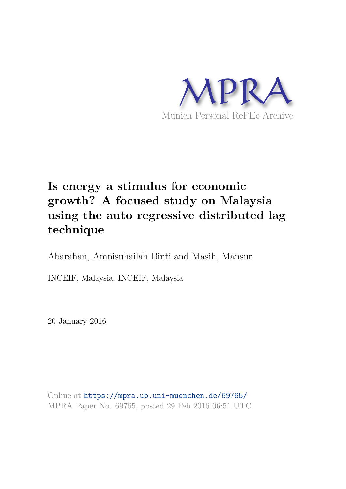

# **Is energy a stimulus for economic growth? A focused study on Malaysia using the auto regressive distributed lag technique**

Abarahan, Amnisuhailah Binti and Masih, Mansur

INCEIF, Malaysia, INCEIF, Malaysia

20 January 2016

Online at https://mpra.ub.uni-muenchen.de/69765/ MPRA Paper No. 69765, posted 29 Feb 2016 06:51 UTC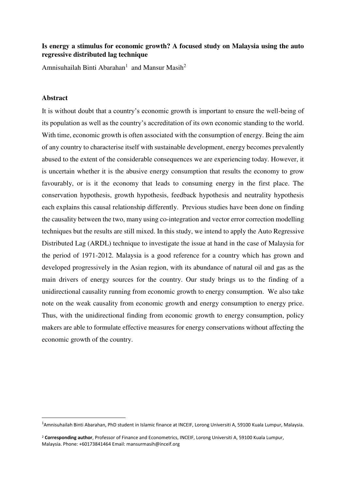## **Is energy a stimulus for economic growth? A focused study on Malaysia using the auto regressive distributed lag technique**

Amnisuhailah Binti Abarahan<sup>1</sup> and Mansur Masih<sup>2</sup>

## **Abstract**

<u>.</u>

It is without doubt that a country's economic growth is important to ensure the well-being of its population as well as the country's accreditation of its own economic standing to the world. With time, economic growth is often associated with the consumption of energy. Being the aim of any country to characterise itself with sustainable development, energy becomes prevalently abused to the extent of the considerable consequences we are experiencing today. However, it is uncertain whether it is the abusive energy consumption that results the economy to grow favourably, or is it the economy that leads to consuming energy in the first place. The conservation hypothesis, growth hypothesis, feedback hypothesis and neutrality hypothesis each explains this causal relationship differently. Previous studies have been done on finding the causality between the two, many using co-integration and vector error correction modelling techniques but the results are still mixed. In this study, we intend to apply the Auto Regressive Distributed Lag (ARDL) technique to investigate the issue at hand in the case of Malaysia for the period of 1971-2012. Malaysia is a good reference for a country which has grown and developed progressively in the Asian region, with its abundance of natural oil and gas as the main drivers of energy sources for the country. Our study brings us to the finding of a unidirectional causality running from economic growth to energy consumption. We also take note on the weak causality from economic growth and energy consumption to energy price. Thus, with the unidirectional finding from economic growth to energy consumption, policy makers are able to formulate effective measures for energy conservations without affecting the economic growth of the country.

<sup>1</sup>Amnisuhailah Binti Abarahan, PhD student in Islamic finance at INCEIF, Lorong Universiti A, 59100 Kuala Lumpur, Malaysia.

<sup>2</sup> **Corresponding author**, Professor of Finance and Econometrics, INCEIF, Lorong Universiti A, 59100 Kuala Lumpur, Malaysia. Phone: +60173841464 Email: mansurmasih@inceif.org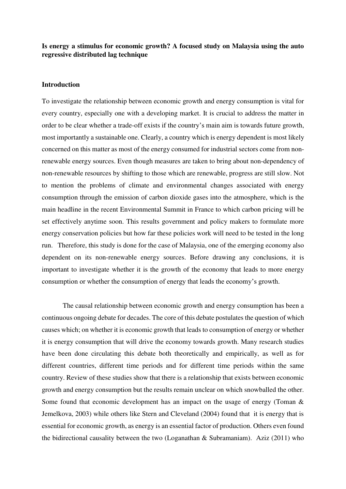## **Is energy a stimulus for economic growth? A focused study on Malaysia using the auto regressive distributed lag technique**

#### **Introduction**

To investigate the relationship between economic growth and energy consumption is vital for every country, especially one with a developing market. It is crucial to address the matter in order to be clear whether a trade-off exists if the country's main aim is towards future growth, most importantly a sustainable one. Clearly, a country which is energy dependent is most likely concerned on this matter as most of the energy consumed for industrial sectors come from nonrenewable energy sources. Even though measures are taken to bring about non-dependency of non-renewable resources by shifting to those which are renewable, progress are still slow. Not to mention the problems of climate and environmental changes associated with energy consumption through the emission of carbon dioxide gases into the atmosphere, which is the main headline in the recent Environmental Summit in France to which carbon pricing will be set effectively anytime soon. This results government and policy makers to formulate more energy conservation policies but how far these policies work will need to be tested in the long run. Therefore, this study is done for the case of Malaysia, one of the emerging economy also dependent on its non-renewable energy sources. Before drawing any conclusions, it is important to investigate whether it is the growth of the economy that leads to more energy consumption or whether the consumption of energy that leads the economy's growth.

The causal relationship between economic growth and energy consumption has been a continuous ongoing debate for decades. The core of this debate postulates the question of which causes which; on whether it is economic growth that leads to consumption of energy or whether it is energy consumption that will drive the economy towards growth. Many research studies have been done circulating this debate both theoretically and empirically, as well as for different countries, different time periods and for different time periods within the same country. Review of these studies show that there is a relationship that exists between economic growth and energy consumption but the results remain unclear on which snowballed the other. Some found that economic development has an impact on the usage of energy (Toman & Jemelkova, 2003) while others like Stern and Cleveland (2004) found that it is energy that is essential for economic growth, as energy is an essential factor of production. Others even found the bidirectional causality between the two (Loganathan & Subramaniam). Aziz (2011) who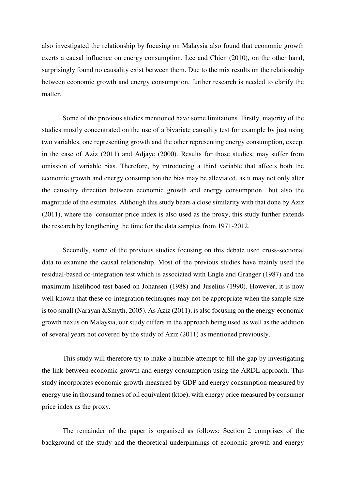also investigated the relationship by focusing on Malaysia also found that economic growth exerts a causal influence on energy consumption. Lee and Chien (2010), on the other hand, surprisingly found no causality exist between them. Due to the mix results on the relationship between economic growth and energy consumption, further research is needed to clarify the matter.

Some of the previous studies mentioned have some limitations. Firstly, majority of the studies mostly concentrated on the use of a bivariate causality test for example by just using two variables, one representing growth and the other representing energy consumption, except in the case of Aziz (2011) and Adjaye (2000). Results for those studies, may suffer from omission of variable bias. Therefore, by introducing a third variable that affects both the economic growth and energy consumption the bias may be alleviated, as it may not only alter the causality direction between economic growth and energy consumption but also the magnitude of the estimates. Although this study bears a close similarity with that done by Aziz (2011), where the consumer price index is also used as the proxy, this study further extends the research by lengthening the time for the data samples from 1971-2012.

Secondly, some of the previous studies focusing on this debate used cross-sectional data to examine the causal relationship. Most of the previous studies have mainly used the residual-based co-integration test which is associated with Engle and Granger (1987) and the maximum likelihood test based on Johansen (1988) and Juselius (1990). However, it is now well known that these co-integration techniques may not be appropriate when the sample size is too small (Narayan &Smyth, 2005). As Aziz (2011), is also focusing on the energy-economic growth nexus on Malaysia, our study differs in the approach being used as well as the addition of several years not covered by the study of Aziz (2011) as mentioned previously.

This study will therefore try to make a humble attempt to fill the gap by investigating the link between economic growth and energy consumption using the ARDL approach. This study incorporates economic growth measured by GDP and energy consumption measured by energy use in thousand tonnes of oil equivalent (ktoe), with energy price measured by consumer price index as the proxy.

The remainder of the paper is organised as follows: Section 2 comprises of the background of the study and the theoretical underpinnings of economic growth and energy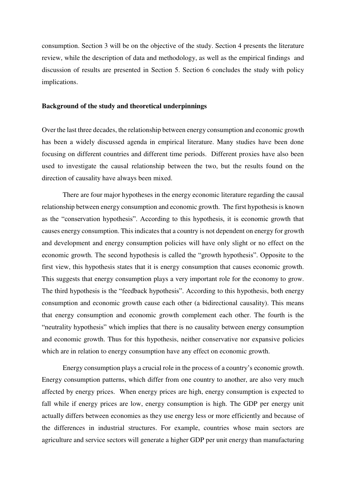consumption. Section 3 will be on the objective of the study. Section 4 presents the literature review, while the description of data and methodology, as well as the empirical findings and discussion of results are presented in Section 5. Section 6 concludes the study with policy implications.

### **Background of the study and theoretical underpinnings**

Over the last three decades, the relationship between energy consumption and economic growth has been a widely discussed agenda in empirical literature. Many studies have been done focusing on different countries and different time periods. Different proxies have also been used to investigate the causal relationship between the two, but the results found on the direction of causality have always been mixed.

There are four major hypotheses in the energy economic literature regarding the causal relationship between energy consumption and economic growth. The first hypothesis is known as the "conservation hypothesis". According to this hypothesis, it is economic growth that causes energy consumption. This indicates that a country is not dependent on energy for growth and development and energy consumption policies will have only slight or no effect on the economic growth. The second hypothesis is called the "growth hypothesis". Opposite to the first view, this hypothesis states that it is energy consumption that causes economic growth. This suggests that energy consumption plays a very important role for the economy to grow. The third hypothesis is the "feedback hypothesis". According to this hypothesis, both energy consumption and economic growth cause each other (a bidirectional causality). This means that energy consumption and economic growth complement each other. The fourth is the "neutrality hypothesis" which implies that there is no causality between energy consumption and economic growth. Thus for this hypothesis, neither conservative nor expansive policies which are in relation to energy consumption have any effect on economic growth.

Energy consumption plays a crucial role in the process of a country's economic growth. Energy consumption patterns, which differ from one country to another, are also very much affected by energy prices. When energy prices are high, energy consumption is expected to fall while if energy prices are low, energy consumption is high. The GDP per energy unit actually differs between economies as they use energy less or more efficiently and because of the differences in industrial structures. For example, countries whose main sectors are agriculture and service sectors will generate a higher GDP per unit energy than manufacturing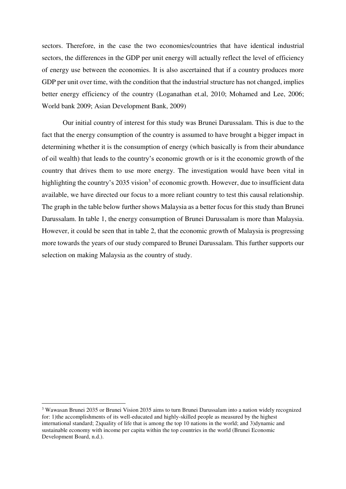sectors. Therefore, in the case the two economies/countries that have identical industrial sectors, the differences in the GDP per unit energy will actually reflect the level of efficiency of energy use between the economies. It is also ascertained that if a country produces more GDP per unit over time, with the condition that the industrial structure has not changed, implies better energy efficiency of the country (Loganathan et.al, 2010; Mohamed and Lee, 2006; World bank 2009; Asian Development Bank, 2009)

Our initial country of interest for this study was Brunei Darussalam. This is due to the fact that the energy consumption of the country is assumed to have brought a bigger impact in determining whether it is the consumption of energy (which basically is from their abundance of oil wealth) that leads to the country's economic growth or is it the economic growth of the country that drives them to use more energy. The investigation would have been vital in highlighting the country's 2035 vision<sup>3</sup> of economic growth. However, due to insufficient data available, we have directed our focus to a more reliant country to test this causal relationship. The graph in the table below further shows Malaysia as a better focus for this study than Brunei Darussalam. In table 1, the energy consumption of Brunei Darussalam is more than Malaysia. However, it could be seen that in table 2, that the economic growth of Malaysia is progressing more towards the years of our study compared to Brunei Darussalam. This further supports our selection on making Malaysia as the country of study.

 $\overline{a}$ 

<sup>&</sup>lt;sup>3</sup> Wawasan Brunei 2035 or Brunei Vision 2035 aims to turn Brunei Darussalam into a nation widely recognized for: 1)the accomplishments of its well-educated and highly-skilled people as measured by the highest international standard; 2)quality of life that is among the top 10 nations in the world; and 3)dynamic and sustainable economy with income per capita within the top countries in the world (Brunei Economic Development Board, n.d.).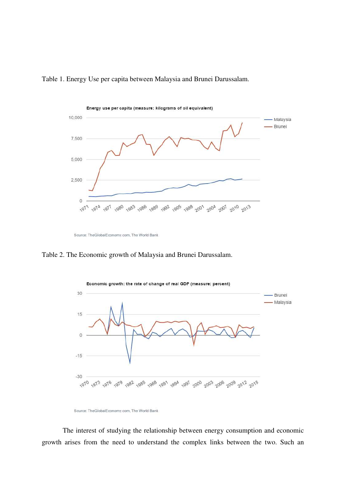



Source: TheGlobalEconomy.com, The World Bank

Table 2. The Economic growth of Malaysia and Brunei Darussalam.



Source: TheGlobalEconomy.com, The World Bank

The interest of studying the relationship between energy consumption and economic growth arises from the need to understand the complex links between the two. Such an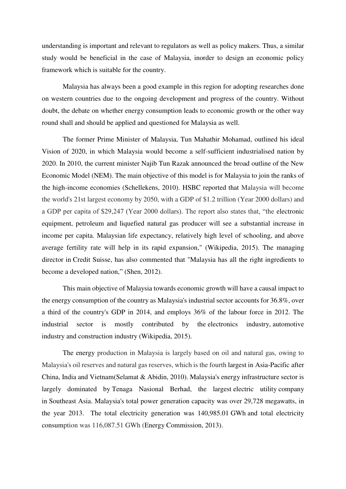understanding is important and relevant to regulators as well as policy makers. Thus, a similar study would be beneficial in the case of Malaysia, inorder to design an economic policy framework which is suitable for the country.

Malaysia has always been a good example in this region for adopting researches done on western countries due to the ongoing development and progress of the country. Without doubt, the debate on whether energy consumption leads to economic growth or the other way round shall and should be applied and questioned for Malaysia as well.

The former Prime Minister of Malaysia, Tun Mahathir Mohamad, outlined his ideal Vision of 2020, in which Malaysia would become a self-sufficient industrialised nation by 2020. In 2010, the current minister Najib Tun Razak announced the broad outline of the New Economic Model (NEM). The main objective of this model is for Malaysia to join the ranks of the high-income economies (Schellekens, 2010). HSBC reported that Malaysia will become the world's 21st largest economy by 2050, with a GDP of \$1.2 trillion (Year 2000 dollars) and a GDP per capita of \$29,247 (Year 2000 dollars). The report also states that, "the electronic equipment, petroleum and liquefied natural gas producer will see a substantial increase in income per capita. Malaysian life expectancy, relatively high level of schooling, and above average fertility rate will help in its rapid expansion," (Wikipedia, 2015). The managing director in Credit Suisse, has also commented that "Malaysia has all the right ingredients to become a developed nation," (Shen, 2012).

This main objective of Malaysia towards economic growth will have a causal impact to the energy consumption of the country as Malaysia's industrial sector accounts for 36.8%, over a third of the country's GDP in 2014, and employs 36% of the labour force in 2012. The industrial sector is mostly contributed by the [electronics industry,](https://en.wikipedia.org/wiki/Electronics_industry) [automotive](https://en.wikipedia.org/wiki/Automotive_industry)  [industry](https://en.wikipedia.org/wiki/Automotive_industry) and [construction industry](https://en.wikipedia.org/wiki/Construction_industry) (Wikipedia, 2015).

The energy production in Malaysia is largely based on oil and natural gas, owing to Malaysia's oil reserves and natural gas reserves, which is the fourth largest in [Asia-Pacific](https://en.wikipedia.org/wiki/Asia-Pacific) after China, India and [Vietnam\(](https://en.wikipedia.org/wiki/Vietnam)Selamat & Abidin, 2010). Malaysia's energy infrastructure sector is largely dominated by [Tenaga Nasional](https://en.wikipedia.org/wiki/Tenaga_Nasional) Berhad, the largest [electric utility](https://en.wikipedia.org/wiki/Electric_utility) company in [Southeast Asia.](https://en.wikipedia.org/wiki/Southeast_Asia) Malaysia's total power generation capacity was over 29,728 [megawatts,](https://en.wikipedia.org/wiki/Megawatts) in the year 2013. The total electricity generation was 140,985.01 [GWh](https://en.wikipedia.org/wiki/GWh) and total electricity consumption was 116,087.51 GWh (Energy Commission, 2013).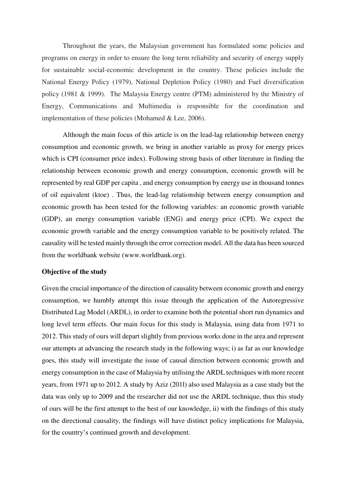Throughout the years, the Malaysian government has formulated some policies and programs on energy in order to ensure the long term reliability and security of energy supply for sustainable social-economic development in the country. These policies include the National Energy Policy (1979), National Depletion Policy (1980) and Fuel diversification policy (1981 & 1999). The Malaysia Energy centre (PTM) administered by the Ministry of Energy, Communications and Multimedia is responsible for the coordination and implementation of these policies (Mohamed & Lee, 2006).

Although the main focus of this article is on the lead-lag relationship between energy consumption and economic growth, we bring in another variable as proxy for energy prices which is CPI (consumer price index). Following strong basis of other literature in finding the relationship between economic growth and energy consumption, economic growth will be represented by real GDP per capita , and energy consumption by energy use in thousand tonnes of oil equivalent (ktoe) . Thus, the lead-lag relationship between energy consumption and economic growth has been tested for the following variables: an economic growth variable (GDP), an energy consumption variable (ENG) and energy price (CPI). We expect the economic growth variable and the energy consumption variable to be positively related. The causality will be tested mainly through the error correction model. All the data has been sourced from the worldbank website (www.worldbank.org).

#### **Objective of the study**

Given the crucial importance of the direction of causality between economic growth and energy consumption, we humbly attempt this issue through the application of the Autoregressive Distributed Lag Model (ARDL), in order to examine both the potential short run dynamics and long level term effects. Our main focus for this study is Malaysia, using data from 1971 to 2012. This study of ours will depart slightly from previous works done in the area and represent our attempts at advancing the research study in the following ways; i) as far as our knowledge goes, this study will investigate the issue of causal direction between economic growth and energy consumption in the case of Malaysia by utilising the ARDL techniques with more recent years, from 1971 up to 2012. A study by Aziz (201l) also used Malaysia as a case study but the data was only up to 2009 and the researcher did not use the ARDL technique, thus this study of ours will be the first attempt to the best of our knowledge, ii) with the findings of this study on the directional causality, the findings will have distinct policy implications for Malaysia, for the country's continued growth and development.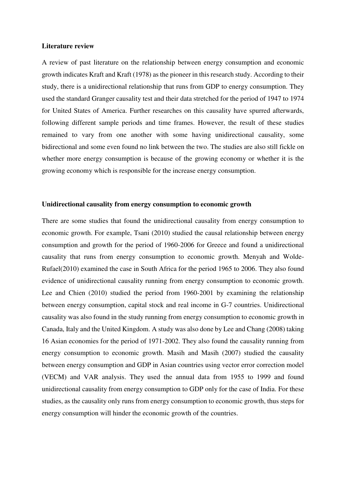#### **Literature review**

A review of past literature on the relationship between energy consumption and economic growth indicates Kraft and Kraft (1978) as the pioneer in this research study. According to their study, there is a unidirectional relationship that runs from GDP to energy consumption. They used the standard Granger causality test and their data stretched for the period of 1947 to 1974 for United States of America. Further researches on this causality have spurred afterwards, following different sample periods and time frames. However, the result of these studies remained to vary from one another with some having unidirectional causality, some bidirectional and some even found no link between the two. The studies are also still fickle on whether more energy consumption is because of the growing economy or whether it is the growing economy which is responsible for the increase energy consumption.

#### **Unidirectional causality from energy consumption to economic growth**

There are some studies that found the unidirectional causality from energy consumption to economic growth. For example, Tsani (2010) studied the causal relationship between energy consumption and growth for the period of 1960-2006 for Greece and found a unidirectional causality that runs from energy consumption to economic growth. Menyah and Wolde-Rufael(2010) examined the case in South Africa for the period 1965 to 2006. They also found evidence of unidirectional causality running from energy consumption to economic growth. Lee and Chien (2010) studied the period from 1960-2001 by examining the relationship between energy consumption, capital stock and real income in G-7 countries. Unidirectional causality was also found in the study running from energy consumption to economic growth in Canada, Italy and the United Kingdom. A study was also done by Lee and Chang (2008) taking 16 Asian economies for the period of 1971-2002. They also found the causality running from energy consumption to economic growth. Masih and Masih (2007) studied the causality between energy consumption and GDP in Asian countries using vector error correction model (VECM) and VAR analysis. They used the annual data from 1955 to 1999 and found unidirectional causality from energy consumption to GDP only for the case of India. For these studies, as the causality only runs from energy consumption to economic growth, thus steps for energy consumption will hinder the economic growth of the countries.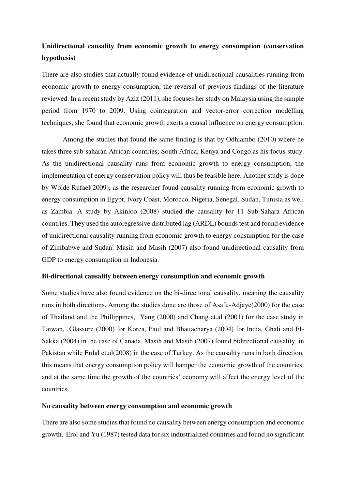# **Unidirectional causality from economic growth to energy consumption (conservation hypothesis)**

There are also studies that actually found evidence of unidirectional causalities running from economic growth to energy consumption, the reversal of previous findings of the literature reviewed. In a recent study by Aziz (2011), she focuses her study on Malaysia using the sample period from 1970 to 2009. Using cointegration and vector-error correction modelling techniques, she found that economic growth exerts a causal influence on energy consumption.

Among the studies that found the same finding is that by Odhiambo (2010) where he takes three sub-saharan African countries; South Africa, Kenya and Congo as his focus study. As the unidirectional causality runs from economic growth to energy consumption, the implementation of energy conservation policy will thus be feasible here. Another study is done by Wolde Rufael(2009), as the researcher found causality running from economic growth to energy consumption in Egypt, Ivory Coast, Morocco, Nigeria, Senegal, Sudan, Tunisia as well as Zambia. A study by Akinloo (2008) studied the causality for 11 Sub-Sahara African countries. They used the autoregressive distributed lag (ARDL) bounds test and found evidence of unidirectional causality running from economic growth to energy consumption for the case of Zimbabwe and Sudan. Masih and Masih (2007) also found unidirectional causality from GDP to energy consumption in Indonesia.

## **Bi-directional causality between energy consumption and economic growth**

Some studies have also found evidence on the bi-directional causality, meaning the causality runs in both directions. Among the studies done are those of Asafu-Adjaye(2000) for the case of Thailand and the Phillippines, Yang (2000) and Chang et.al (2001) for the case study in Taiwan, Glassure (2000) for Korea, Paul and Bhattacharya (2004) for India, Ghali and El-Sakka (2004) in the case of Canada, Masih and Masih (2007) found bidirectional causality in Pakistan while Erdal et.al(2008) in the case of Turkey. As the causality runs in both direction, this means that energy consumption policy will hamper the economic growth of the countries, and at the same time the growth of the countries' economy will affect the energy level of the countries.

## **No causality between energy consumption and economic growth**

There are also some studies that found no causality between energy consumption and economic growth. Erol and Yu (1987) tested data for six industrialized countries and found no significant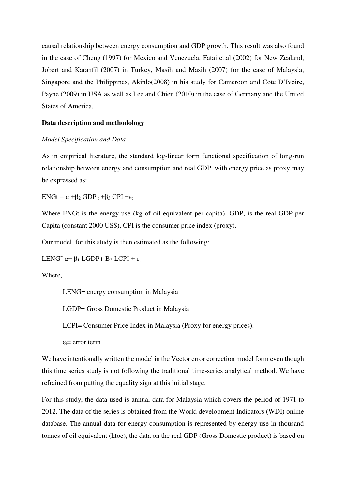causal relationship between energy consumption and GDP growth. This result was also found in the case of Cheng (1997) for Mexico and Venezuela, Fatai et.al (2002) for New Zealand, Jobert and Karanfil (2007) in Turkey, Masih and Masih (2007) for the case of Malaysia, Singapore and the Philippines, Akinlo(2008) in his study for Cameroon and Cote D'Ivoire, Payne (2009) in USA as well as Lee and Chien (2010) in the case of Germany and the United States of America.

## **Data description and methodology**

## *Model Specification and Data*

As in empirical literature, the standard log-linear form functional specification of long-run relationship between energy and consumption and real GDP, with energy price as proxy may be expressed as:

 $ENGt = \alpha + \beta_2 GDP_t + \beta_3 CPI + \varepsilon_t$ 

Where ENGt is the energy use (kg of oil equivalent per capita), GDP, is the real GDP per Capita (constant 2000 US\$), CPI is the consumer price index (proxy).

Our model for this study is then estimated as the following:

LENG<sup> $\sim$ </sup> α+ β<sub>1</sub> LGDP+ Β<sub>2</sub> LCPI + ε<sub>t</sub>

Where,

LENG= energy consumption in Malaysia

LGDP= Gross Domestic Product in Malaysia

LCPI= Consumer Price Index in Malaysia (Proxy for energy prices).

 $\varepsilon_t$ = error term

We have intentionally written the model in the Vector error correction model form even though this time series study is not following the traditional time-series analytical method. We have refrained from putting the equality sign at this initial stage.

For this study, the data used is annual data for Malaysia which covers the period of 1971 to 2012. The data of the series is obtained from the World development Indicators (WDI) online database. The annual data for energy consumption is represented by energy use in thousand tonnes of oil equivalent (ktoe), the data on the real GDP (Gross Domestic product) is based on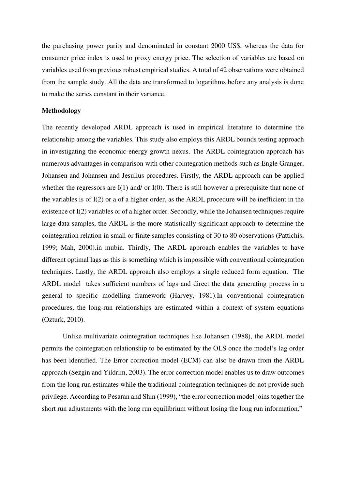the purchasing power parity and denominated in constant 2000 US\$, whereas the data for consumer price index is used to proxy energy price. The selection of variables are based on variables used from previous robust empirical studies. A total of 42 observations were obtained from the sample study. All the data are transformed to logarithms before any analysis is done to make the series constant in their variance.

## **Methodology**

The recently developed ARDL approach is used in empirical literature to determine the relationship among the variables. This study also employs this ARDL bounds testing approach in investigating the economic-energy growth nexus. The ARDL cointegration approach has numerous advantages in comparison with other cointegration methods such as Engle Granger, Johansen and Johansen and Jesulius procedures. Firstly, the ARDL approach can be applied whether the regressors are  $I(1)$  and/ or  $I(0)$ . There is still however a prerequisite that none of the variables is of I(2) or a of a higher order, as the ARDL procedure will be inefficient in the existence of I(2) variables or of a higher order. Secondly, while the Johansen techniques require large data samples, the ARDL is the more statistically significant approach to determine the cointegration relation in small or finite samples consisting of 30 to 80 observations (Pattichis, 1999; Mah, 2000).in mubin. Thirdly, The ARDL approach enables the variables to have different optimal lags as this is something which is impossible with conventional cointegration techniques. Lastly, the ARDL approach also employs a single reduced form equation. The ARDL model takes sufficient numbers of lags and direct the data generating process in a general to specific modelling framework (Harvey, 1981).In conventional cointegration procedures, the long-run relationships are estimated within a context of system equations (Ozturk, 2010).

Unlike multivariate cointegration techniques like Johansen (1988), the ARDL model permits the cointegration relationship to be estimated by the OLS once the model's lag order has been identified. The Error correction model (ECM) can also be drawn from the ARDL approach (Sezgin and Yildrim, 2003). The error correction model enables us to draw outcomes from the long run estimates while the traditional cointegration techniques do not provide such privilege. According to Pesaran and Shin (1999), "the error correction model joins together the short run adjustments with the long run equilibrium without losing the long run information."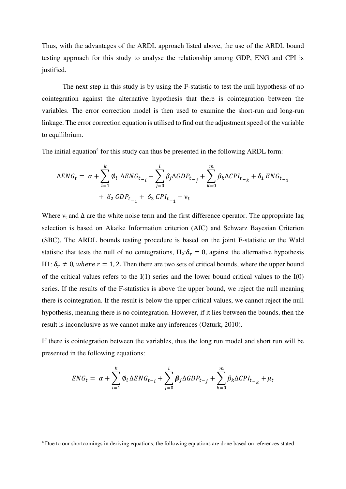Thus, with the advantages of the ARDL approach listed above, the use of the ARDL bound testing approach for this study to analyse the relationship among GDP, ENG and CPI is justified.

The next step in this study is by using the F-statistic to test the null hypothesis of no cointegration against the alternative hypothesis that there is cointegration between the variables. The error correction model is then used to examine the short-run and long-run linkage. The error correction equation is utilised to find out the adjustment speed of the variable to equilibrium.

The initial equation<sup>4</sup> for this study can thus be presented in the following ARDL form:

$$
\Delta ENG_t = \alpha + \sum_{i=1}^k \phi_i \ \Delta ENG_{t_{i-1}} + \sum_{j=0}^l \beta_j \Delta GDP_{t_{j}} + \sum_{k=0}^m \beta_k \Delta CPL_{t_{k-k}} + \delta_1 ENG_{t_{i-1}} + \delta_2 GDP_{t_{i-1}} + \delta_3 CPI_{t_{i-1}} + \nu_t
$$

Where  $v_t$  and  $\Delta$  are the white noise term and the first difference operator. The appropriate lag selection is based on Akaike Information criterion (AIC) and Schwarz Bayesian Criterion (SBC). The ARDL bounds testing procedure is based on the joint F-statistic or the Wald statistic that tests the null of no contegrations,  $H_0: \delta_r = 0$ , against the alternative hypothesis H1:  $\delta_r \neq 0$ , where  $r = 1$ , 2. Then there are two sets of critical bounds, where the upper bound of the critical values refers to the  $I(1)$  series and the lower bound critical values to the  $I(0)$ series. If the results of the F-statistics is above the upper bound, we reject the null meaning there is cointegration. If the result is below the upper critical values, we cannot reject the null hypothesis, meaning there is no cointegration. However, if it lies between the bounds, then the result is inconclusive as we cannot make any inferences (Ozturk, 2010).

If there is cointegration between the variables, thus the long run model and short run will be presented in the following equations:

$$
ENG_t = \alpha + \sum_{i=1}^k \phi_i \Delta ENG_{t-i} + \sum_{j=0}^l \beta_j \Delta GDP_{t-j} + \sum_{k=0}^m \beta_k \Delta CPL_{t-k} + \mu_t
$$

-

<sup>4</sup> Due to our shortcomings in deriving equations, the following equations are done based on references stated.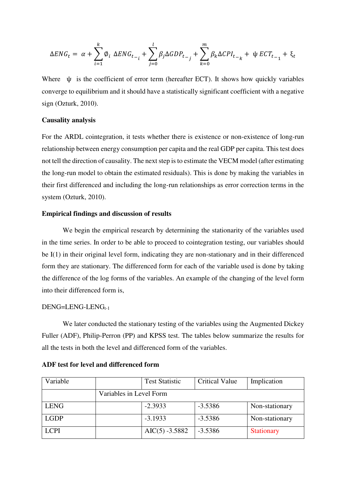$$
\Delta ENG_t = \alpha + \sum_{i=1}^{k} \phi_i \ \Delta ENG_{t-i} + \sum_{j=0}^{l} \beta_j \Delta GDP_{t-j} + \sum_{k=0}^{m} \beta_k \Delta CPL_{t-k} + \Psi ECT_{t-1} + \xi_t
$$

Where  $\psi$  is the coefficient of error term (hereafter ECT). It shows how quickly variables converge to equilibrium and it should have a statistically significant coefficient with a negative sign (Ozturk, 2010).

## **Causality analysis**

For the ARDL cointegration, it tests whether there is existence or non-existence of long-run relationship between energy consumption per capita and the real GDP per capita. This test does not tell the direction of causality. The next step is to estimate the VECM model (after estimating the long-run model to obtain the estimated residuals). This is done by making the variables in their first differenced and including the long-run relationships as error correction terms in the system (Ozturk, 2010).

## **Empirical findings and discussion of results**

We begin the empirical research by determining the stationarity of the variables used in the time series. In order to be able to proceed to cointegration testing, our variables should be I(1) in their original level form, indicating they are non-stationary and in their differenced form they are stationary. The differenced form for each of the variable used is done by taking the difference of the log forms of the variables. An example of the changing of the level form into their differenced form is,

## $DENG=LENG$ -LEN $G_{t-1}$

We later conducted the stationary testing of the variables using the Augmented Dickey Fuller (ADF), Philip-Perron (PP) and KPSS test. The tables below summarize the results for all the tests in both the level and differenced form of the variables.

| Variable    |                         | <b>Test Statistic</b> | <b>Critical Value</b> | Implication       |
|-------------|-------------------------|-----------------------|-----------------------|-------------------|
|             | Variables in Level Form |                       |                       |                   |
| <b>LENG</b> |                         | $-2.3933$             | $-3.5386$             | Non-stationary    |
| <b>LGDP</b> |                         | $-3.1933$             | $-3.5386$             | Non-stationary    |
| <b>LCPI</b> |                         | $AIC(5) -3.5882$      | $-3.5386$             | <b>Stationary</b> |

#### **ADF test for level and differenced form**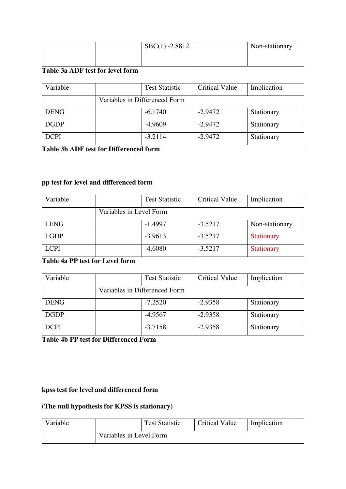|  | $\text{SBC}(1) - 2.8812$ | Non-stationary |
|--|--------------------------|----------------|
|  |                          |                |
|  |                          |                |

## **Table 3a ADF test for level form**

| Variable    | <b>Test Statistic</b>         | <b>Critical Value</b> | Implication |
|-------------|-------------------------------|-----------------------|-------------|
|             | Variables in Differenced Form |                       |             |
| <b>DENG</b> | $-6.1740$                     | $-2.9472$             | Stationary  |
| <b>DGDP</b> | $-4.9609$                     | $-2.9472$             | Stationary  |
| <b>DCPI</b> | $-3.2114$                     | $-2.9472$             | Stationary  |

## **Table 3b ADF test for Differenced form**

# **pp test for level and differenced form**

| Variable    |                         | <b>Test Statistic</b> | <b>Critical Value</b> | Implication       |
|-------------|-------------------------|-----------------------|-----------------------|-------------------|
|             | Variables in Level Form |                       |                       |                   |
| <b>LENG</b> |                         | $-1.4997$             | $-3.5217$             | Non-stationary    |
| <b>LGDP</b> |                         | $-3.9613$             | $-3.5217$             | <b>Stationary</b> |
| <b>LCPI</b> |                         | $-4.6080$             | $-3.5217$             | <b>Stationary</b> |

# **Table 4a PP test for Level form**

| Variable    | <b>Test Statistic</b>         | <b>Critical Value</b> | Implication |
|-------------|-------------------------------|-----------------------|-------------|
|             | Variables in Differenced Form |                       |             |
| <b>DENG</b> | $-7.2520$                     | $-2.9358$             | Stationary  |
| <b>DGDP</b> | $-4.9567$                     | $-2.9358$             | Stationary  |
| <b>DCPI</b> | $-3.7158$                     | $-2.9358$             | Stationary  |

**Table 4b PP test for Differenced Form** 

## **kpss test for level and differenced form**

# **(The null hypothesis for KPSS is stationary)**

| Variable |                         | <b>Test Statistic</b> | <b>Critical Value</b> | Implication |
|----------|-------------------------|-----------------------|-----------------------|-------------|
|          | Variables in Level Form |                       |                       |             |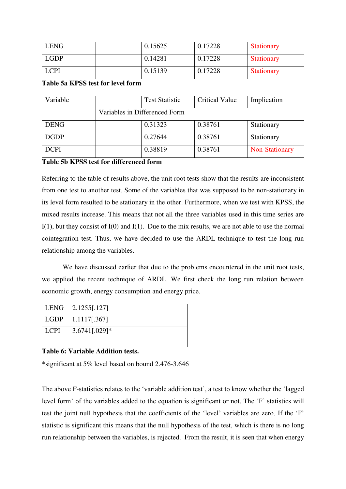| <b>LENG</b> | 0.15625 | 0.17228 | <b>Stationary</b> |
|-------------|---------|---------|-------------------|
| <b>LGDP</b> | 0.14281 | 0.17228 | <b>Stationary</b> |
| <b>LCPI</b> | 0.15139 | 0.17228 | <b>Stationary</b> |

## **Table 5a KPSS test for level form**

| Variable    | <b>Test Statistic</b>         | <b>Critical Value</b> | Implication    |
|-------------|-------------------------------|-----------------------|----------------|
|             | Variables in Differenced Form |                       |                |
| <b>DENG</b> | 0.31323                       | 0.38761               | Stationary     |
| <b>DGDP</b> | 0.27644                       | 0.38761               | Stationary     |
| <b>DCPI</b> | 0.38819                       | 0.38761               | Non-Stationary |

## **Table 5b KPSS test for differenced form**

Referring to the table of results above, the unit root tests show that the results are inconsistent from one test to another test. Some of the variables that was supposed to be non-stationary in its level form resulted to be stationary in the other. Furthermore, when we test with KPSS, the mixed results increase. This means that not all the three variables used in this time series are  $I(1)$ , but they consist of  $I(0)$  and  $I(1)$ . Due to the mix results, we are not able to use the normal cointegration test. Thus, we have decided to use the ARDL technique to test the long run relationship among the variables.

We have discussed earlier that due to the problems encountered in the unit root tests, we applied the recent technique of ARDL. We first check the long run relation between economic growth, energy consumption and energy price.

| $LENG$ 2.1255[.127]       |  |
|---------------------------|--|
| $\vert$ LGDP 1.1117[.367] |  |
| $  LCPI$ 3.6741[.029]*    |  |

## **Table 6: Variable Addition tests.**

\*significant at 5% level based on bound 2.476-3.646

The above F-statistics relates to the 'variable addition test', a test to know whether the 'lagged level form' of the variables added to the equation is significant or not. The 'F' statistics will test the joint null hypothesis that the coefficients of the 'level' variables are zero. If the 'F' statistic is significant this means that the null hypothesis of the test, which is there is no long run relationship between the variables, is rejected. From the result, it is seen that when energy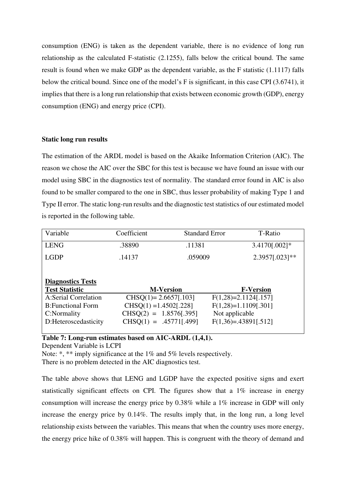consumption (ENG) is taken as the dependent variable, there is no evidence of long run relationship as the calculated F-statistic (2.1255), falls below the critical bound. The same result is found when we make GDP as the dependent variable, as the F statistic (1.1117) falls below the critical bound. Since one of the model's F is significant, in this case CPI (3.6741), it implies that there is a long run relationship that exists between economic growth (GDP), energy consumption (ENG) and energy price (CPI).

## **Static long run results**

The estimation of the ARDL model is based on the Akaike Information Criterion (AIC). The reason we chose the AIC over the SBC for this test is because we have found an issue with our model using SBC in the diagnostics test of normality. The standard error found in AIC is also found to be smaller compared to the one in SBC, thus lesser probability of making Type 1 and Type II error. The static long-run results and the diagnostic test statistics of our estimated model is reported in the following table.

| Variable                 | Coefficient               | <b>Standard Error</b> | T-Ratio                 |
|--------------------------|---------------------------|-----------------------|-------------------------|
| <b>LENG</b>              | .38890                    | .11381                | 3.4170[.002]*           |
| <b>LGDP</b>              | .14137                    | .059009               | 2.3957[.023]**          |
|                          |                           |                       |                         |
| <b>Diagnostics Tests</b> |                           |                       |                         |
| <b>Test Statistic</b>    |                           | <b>M-Version</b>      | <b>F-Version</b>        |
| A:Serial Correlation     | $CHSQ(1) = 2.6657[.103]$  |                       | $F(1,28)=2.1124[.157]$  |
| <b>B:Functional Form</b> | $CHSO(1) = 1.4502[.228]$  |                       | $F(1,28)=1.1109[0.301]$ |
| C:Normality              | $CHSO(2) = 1.8576[0.395]$ |                       | Not applicable          |
| D:Heteroscedasticity     | $CHSO(1) = .45771[.499]$  |                       | $F(1,36)=.43891[.512]$  |

**Table 7: Long-run estimates based on AIC-ARDL (1,4,1).** 

Dependent Variable is LCPI

Note: \*, \*\* imply significance at the 1% and 5% levels respectively. There is no problem detected in the AIC diagnostics test.

The table above shows that LENG and LGDP have the expected positive signs and exert statistically significant effects on CPI. The figures show that a 1% increase in energy consumption will increase the energy price by 0.38% while a 1% increase in GDP will only increase the energy price by 0.14%. The results imply that, in the long run, a long level relationship exists between the variables. This means that when the country uses more energy, the energy price hike of 0.38% will happen. This is congruent with the theory of demand and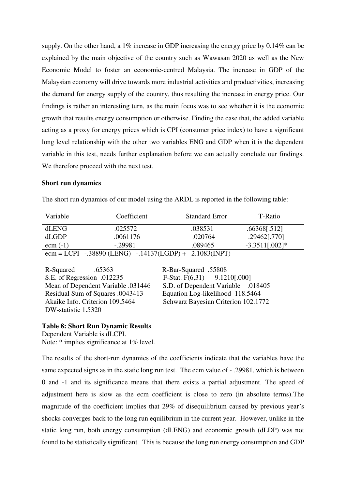supply. On the other hand, a 1% increase in GDP increasing the energy price by 0.14% can be explained by the main objective of the country such as Wawasan 2020 as well as the New Economic Model to foster an economic-centred Malaysia. The increase in GDP of the Malaysian economy will drive towards more industrial activities and productivities, increasing the demand for energy supply of the country, thus resulting the increase in energy price. Our findings is rather an interesting turn, as the main focus was to see whether it is the economic growth that results energy consumption or otherwise. Finding the case that, the added variable acting as a proxy for energy prices which is CPI (consumer price index) to have a significant long level relationship with the other two variables ENG and GDP when it is the dependent variable in this test, needs further explanation before we can actually conclude our findings. We therefore proceed with the next test.

## **Short run dynamics**

The short run dynamics of our model using the ARDL is reported in the following table:

| Variable                        | Coefficient                                     | <b>Standard Error</b>               | T-Ratio          |
|---------------------------------|-------------------------------------------------|-------------------------------------|------------------|
| dLENG                           | .025572                                         | .038531                             | .66368[.512]     |
| dLGDP                           | .0061176                                        | .020764                             | .29462[.770]     |
| $ecm(-1)$                       | $-.29981$                                       | .089465                             | $-3.3511[.002]*$ |
|                                 | $ecm = LCPI - .38890$ (LENG) $-.14137$ (LGDP) + | 2.1083(INPT)                        |                  |
|                                 |                                                 |                                     |                  |
| R-Squared                       | .65363                                          | R-Bar-Squared .55808                |                  |
| S.E. of Regression .012235      |                                                 | F-Stat. $F(6,31)$ 9.1210[.000]      |                  |
|                                 | Mean of Dependent Variable .031446              | S.D. of Dependent Variable .018405  |                  |
|                                 | Residual Sum of Squares .0043413                | Equation Log-likelihood 118.5464    |                  |
| Akaike Info. Criterion 109.5464 |                                                 | Schwarz Bayesian Criterion 102.1772 |                  |
| DW-statistic 1.5320             |                                                 |                                     |                  |
|                                 |                                                 |                                     |                  |

#### **Table 8: Short Run Dynamic Results**  Dependent Variable is dLCPI.

Note: \* implies significance at 1% level.

The results of the short-run dynamics of the coefficients indicate that the variables have the same expected signs as in the static long run test. The ecm value of - .29981, which is between 0 and -1 and its significance means that there exists a partial adjustment. The speed of adjustment here is slow as the ecm coefficient is close to zero (in absolute terms).The magnitude of the coefficient implies that 29% of disequilibrium caused by previous year's shocks converges back to the long run equilibrium in the current year. However, unlike in the static long run, both energy consumption (dLENG) and economic growth (dLDP) was not found to be statistically significant. This is because the long run energy consumption and GDP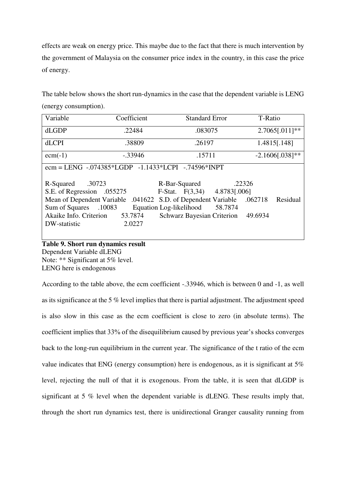effects are weak on energy price. This maybe due to the fact that there is much intervention by the government of Malaysia on the consumer price index in the country, in this case the price of energy.

The table below shows the short run-dynamics in the case that the dependent variable is LENG (energy consumption).

| Variable                                           | Coefficient                                                                      | <b>Standard Error</b>                                                                                                                                                                               | T-Ratio                       |
|----------------------------------------------------|----------------------------------------------------------------------------------|-----------------------------------------------------------------------------------------------------------------------------------------------------------------------------------------------------|-------------------------------|
| dLGDP                                              | .22484                                                                           | .083075                                                                                                                                                                                             | $2.7065[.011]**$              |
| <b>dLCPI</b>                                       | .38809                                                                           | .26197                                                                                                                                                                                              | 1.4815[.148]                  |
| $ecm(-1)$                                          | $-.33946$                                                                        | .15711                                                                                                                                                                                              | $-2.1606[.038]$ **            |
|                                                    | ecm = LENG $-.074385*LGDP -1.1433*LCPI -0.74596*INPT$                            |                                                                                                                                                                                                     |                               |
| R-Squared<br>Sum of Squares .10083<br>DW-statistic | .30723<br>S.E. of Regression .055275<br>Akaike Info. Criterion 53.7874<br>2.0227 | R-Bar-Squared<br>F-Stat. $F(3,34)$ 4.8783[.006]<br>Mean of Dependent Variable .041622 S.D. of Dependent Variable .062718<br>Equation Log-likelihood<br>58.7874<br><b>Schwarz Bayesian Criterion</b> | .22326<br>Residual<br>49.6934 |

# **Table 9. Short run dynamics result**

Dependent Variable dLENG Note: \*\* Significant at 5% level. LENG here is endogenous

According to the table above, the ecm coefficient -.33946, which is between 0 and -1, as well as its significance at the 5 % level implies that there is partial adjustment. The adjustment speed is also slow in this case as the ecm coefficient is close to zero (in absolute terms). The coefficient implies that 33% of the disequilibrium caused by previous year's shocks converges back to the long-run equilibrium in the current year. The significance of the t ratio of the ecm value indicates that ENG (energy consumption) here is endogenous, as it is significant at 5% level, rejecting the null of that it is exogenous. From the table, it is seen that dLGDP is significant at 5 % level when the dependent variable is dLENG. These results imply that, through the short run dynamics test, there is unidirectional Granger causality running from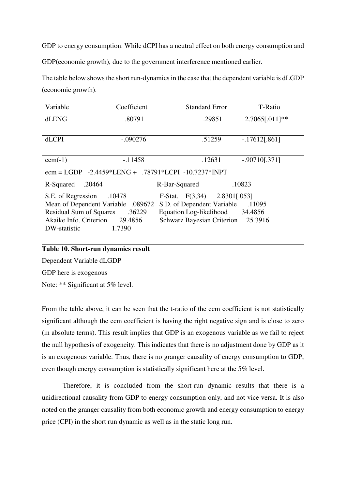GDP to energy consumption. While dCPI has a neutral effect on both energy consumption and

GDP(economic growth), due to the government interference mentioned earlier.

The table below shows the short run-dynamics in the case that the dependent variable is dLGDP (economic growth).

| Variable                                                                   | Coefficient                    | <b>Standard Error</b>             | T-Ratio          |
|----------------------------------------------------------------------------|--------------------------------|-----------------------------------|------------------|
| dLENG                                                                      | .80791                         | .29851                            | $2.7065[.011]**$ |
|                                                                            |                                |                                   |                  |
| <b>dLCPI</b>                                                               | $-.090276$                     | .51259                            | $-.17612[.861]$  |
|                                                                            |                                |                                   |                  |
| $ecm(-1)$                                                                  | $-11458$                       | .12631                            | $-.90710$ [.371] |
| ecm = LGDP $-2.4459 * LENG + .78791 * LCPI -10.7237 * INPT$                |                                |                                   |                  |
| R-Squared                                                                  | .20464                         | R-Bar-Squared                     | .10823           |
| S.E. of Regression                                                         | .10478                         | F-Stat. $F(3,34)$ 2.8301[.053]    |                  |
| Mean of Dependent Variable .089672<br>S.D. of Dependent Variable<br>.11095 |                                |                                   |                  |
| <b>Residual Sum of Squares</b>                                             | .36229                         | Equation Log-likelihood 34.4856   |                  |
|                                                                            | Akaike Info. Criterion 29.4856 | <b>Schwarz Bayesian Criterion</b> | 25.3916          |
| DW-statistic                                                               | 1.7390                         |                                   |                  |
|                                                                            |                                |                                   |                  |

## **Table 10. Short-run dynamics result**

Dependent Variable dLGDP

GDP here is exogenous

Note: \*\* Significant at 5% level.

From the table above, it can be seen that the t-ratio of the ecm coefficient is not statistically significant although the ecm coefficient is having the right negative sign and is close to zero (in absolute terms). This result implies that GDP is an exogenous variable as we fail to reject the null hypothesis of exogeneity. This indicates that there is no adjustment done by GDP as it is an exogenous variable. Thus, there is no granger causality of energy consumption to GDP, even though energy consumption is statistically significant here at the 5% level.

Therefore, it is concluded from the short-run dynamic results that there is a unidirectional causality from GDP to energy consumption only, and not vice versa. It is also noted on the granger causality from both economic growth and energy consumption to energy price (CPI) in the short run dynamic as well as in the static long run.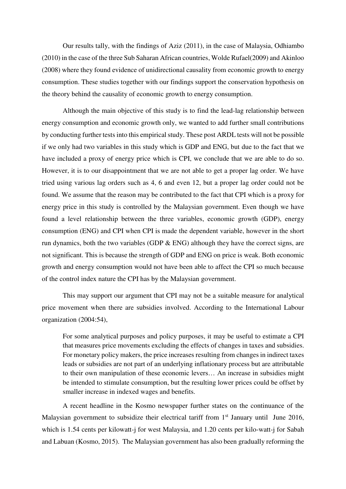Our results tally, with the findings of Aziz (2011), in the case of Malaysia, Odhiambo (2010) in the case of the three Sub Saharan African countries, Wolde Rufael(2009) and Akinloo (2008) where they found evidence of unidirectional causality from economic growth to energy consumption. These studies together with our findings support the conservation hypothesis on the theory behind the causality of economic growth to energy consumption.

Although the main objective of this study is to find the lead-lag relationship between energy consumption and economic growth only, we wanted to add further small contributions by conducting further tests into this empirical study. These post ARDL tests will not be possible if we only had two variables in this study which is GDP and ENG, but due to the fact that we have included a proxy of energy price which is CPI, we conclude that we are able to do so. However, it is to our disappointment that we are not able to get a proper lag order. We have tried using various lag orders such as 4, 6 and even 12, but a proper lag order could not be found. We assume that the reason may be contributed to the fact that CPI which is a proxy for energy price in this study is controlled by the Malaysian government. Even though we have found a level relationship between the three variables, economic growth (GDP), energy consumption (ENG) and CPI when CPI is made the dependent variable, however in the short run dynamics, both the two variables (GDP  $\&$  ENG) although they have the correct signs, are not significant. This is because the strength of GDP and ENG on price is weak. Both economic growth and energy consumption would not have been able to affect the CPI so much because of the control index nature the CPI has by the Malaysian government.

This may support our argument that CPI may not be a suitable measure for analytical price movement when there are subsidies involved. According to the International Labour organization (2004:54),

For some analytical purposes and policy purposes, it may be useful to estimate a CPI that measures price movements excluding the effects of changes in taxes and subsidies. For monetary policy makers, the price increases resulting from changes in indirect taxes leads or subsidies are not part of an underlying inflationary process but are attributable to their own manipulation of these economic levers… An increase in subsidies might be intended to stimulate consumption, but the resulting lower prices could be offset by smaller increase in indexed wages and benefits.

A recent headline in the Kosmo newspaper further states on the continuance of the Malaysian government to subsidize their electrical tariff from 1<sup>st</sup> January until June 2016, which is 1.54 cents per kilowatt-j for west Malaysia, and 1.20 cents per kilo-watt-j for Sabah and Labuan (Kosmo, 2015). The Malaysian government has also been gradually reforming the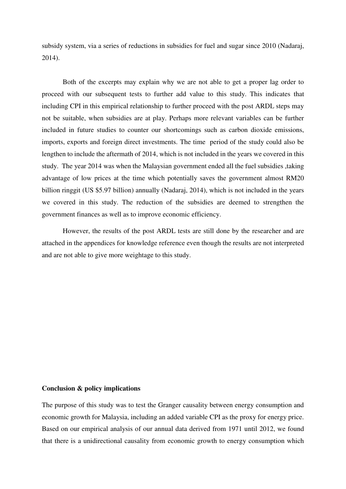subsidy system, via a series of reductions in subsidies for fuel and sugar since 2010 (Nadaraj, 2014).

Both of the excerpts may explain why we are not able to get a proper lag order to proceed with our subsequent tests to further add value to this study. This indicates that including CPI in this empirical relationship to further proceed with the post ARDL steps may not be suitable, when subsidies are at play. Perhaps more relevant variables can be further included in future studies to counter our shortcomings such as carbon dioxide emissions, imports, exports and foreign direct investments. The time period of the study could also be lengthen to include the aftermath of 2014, which is not included in the years we covered in this study. The year 2014 was when the Malaysian government ended all the fuel subsidies ,taking advantage of low prices at the time which potentially saves the government almost RM20 billion ringgit (US \$5.97 billion) annually (Nadaraj, 2014), which is not included in the years we covered in this study. The reduction of the subsidies are deemed to strengthen the government finances as well as to improve economic efficiency.

However, the results of the post ARDL tests are still done by the researcher and are attached in the appendices for knowledge reference even though the results are not interpreted and are not able to give more weightage to this study.

## **Conclusion & policy implications**

The purpose of this study was to test the Granger causality between energy consumption and economic growth for Malaysia, including an added variable CPI as the proxy for energy price. Based on our empirical analysis of our annual data derived from 1971 until 2012, we found that there is a unidirectional causality from economic growth to energy consumption which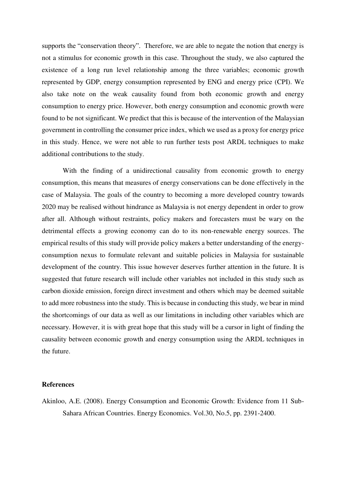supports the "conservation theory". Therefore, we are able to negate the notion that energy is not a stimulus for economic growth in this case. Throughout the study, we also captured the existence of a long run level relationship among the three variables; economic growth represented by GDP, energy consumption represented by ENG and energy price (CPI). We also take note on the weak causality found from both economic growth and energy consumption to energy price. However, both energy consumption and economic growth were found to be not significant. We predict that this is because of the intervention of the Malaysian government in controlling the consumer price index, which we used as a proxy for energy price in this study. Hence, we were not able to run further tests post ARDL techniques to make additional contributions to the study.

With the finding of a unidirectional causality from economic growth to energy consumption, this means that measures of energy conservations can be done effectively in the case of Malaysia. The goals of the country to becoming a more developed country towards 2020 may be realised without hindrance as Malaysia is not energy dependent in order to grow after all. Although without restraints, policy makers and forecasters must be wary on the detrimental effects a growing economy can do to its non-renewable energy sources. The empirical results of this study will provide policy makers a better understanding of the energyconsumption nexus to formulate relevant and suitable policies in Malaysia for sustainable development of the country. This issue however deserves further attention in the future. It is suggested that future research will include other variables not included in this study such as carbon dioxide emission, foreign direct investment and others which may be deemed suitable to add more robustness into the study. This is because in conducting this study, we bear in mind the shortcomings of our data as well as our limitations in including other variables which are necessary. However, it is with great hope that this study will be a cursor in light of finding the causality between economic growth and energy consumption using the ARDL techniques in the future.

## **References**

Akinloo, A.E. (2008). Energy Consumption and Economic Growth: Evidence from 11 Sub-Sahara African Countries. Energy Economics. Vol.30, No.5, pp. 2391-2400.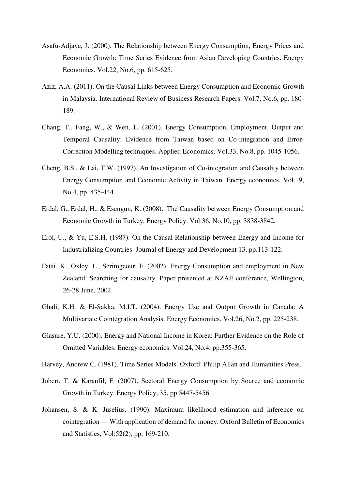- Asafu-Adjaye, J. (2000). The Relationship between Energy Consumption, Energy Prices and Economic Growth: Time Series Evidence from Asian Developing Countries. Energy Economics. Vol.22, No.6, pp. 615-625.
- Aziz, A.A. (2011). On the Causal Links between Energy Consumption and Economic Growth in Malaysia. International Review of Business Research Papers. Vol.7, No.6, pp. 180- 189.
- Chang, T., Fang, W., & Wen, L. (2001). Energy Consumption, Employment, Output and Temporal Causality: Evidence from Taiwan based on Co-integration and Error-Correction Modelling techniques. Applied Economics. Vol.33, No.8, pp. 1045-1056.
- Cheng, B.S., & Lai, T.W. (1997). An Investigation of Co-integration and Causality between Energy Consumption and Economic Activity in Taiwan. Energy economics. Vol.19, No.4, pp. 435-444.
- Erdal, G., Erdal, H., & Esengun, K. (2008). The Causality between Energy Consumption and Economic Growth in Turkey. Energy Policy. Vol.36, No.10, pp. 3838-3842.
- Erol, U., & Yu, E.S.H. (1987). On the Causal Relationship between Energy and Income for Industrializing Countries. Journal of Energy and Development 13, pp.113-122.
- Fatai, K., Oxley, L., Scrimgeour, F. (2002). Energy Consumption and employment in New Zealand: Searching for causality. Paper presented at NZAE conference, Wellington, 26-28 June, 2002.
- Ghali, K.H. & El-Sakka, M.I.T. (2004). Energy Use and Output Growth in Canada: A Multivariate Cointegration Analysis. Energy Economics. Vol.26, No.2, pp. 225-238.
- Glasure, Y.U. (2000). Energy and National Income in Korea: Further Evidence on the Role of Omitted Variables. Energy economics. Vol.24, No.4, pp.355-365.
- Harvey, Andrew C. (1981). Time Series Models. Oxford: Philip Allan and Humanities Press.
- Jobert, T. & Karanfil, F. (2007). Sectoral Energy Consumption by Source and economic Growth in Turkey. Energy Policy, 35, pp 5447-5456.
- Johansen, S. & K. Juselius. (1990). Maximum likelihood estimation and inference on cointegration — With application of demand for money. Oxford Bulletin of Economics and Statistics, Vol:52(2), pp. 169-210.